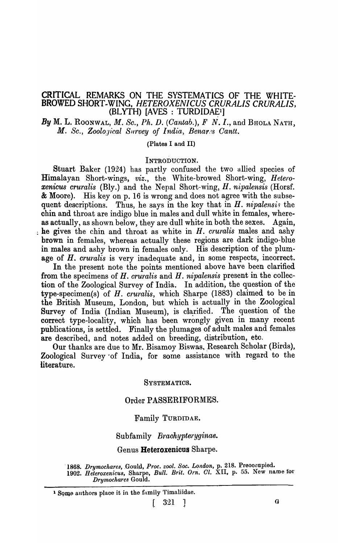## CRITICAL REMARKS ON THE SYSTEMATICS OF THE WHITE-BROWED SHORT-WING, *HETEROXENICUS CRURALIS CRURALIS,*   $(BLYTH)$  [AVES : TURDIDAE<sup>1</sup>]

By M. L. RooNwAL, M. *Se.,* Ph. D. *(Cantab.),* F N. I., and BHOLA NATH, *M. Sc., Zoological Survey of India, Benares Cantt.* 

## (Plates I and II)

#### INTRODUCTION.

Stuart Baker (1924) has partly confused the two allied species of Himalayan Short-wings, viz., the White-browed Short-wing, *Heterozenicus eruralis* (Bly.) and the Nepal Short-wing, *H. nipalensis* (Horsf. & Moore). His key on p. 16 is wrong and does not agree with the subsequent descriptions. Thus, he says in the key that in  $H$ .  $nipalensis$  the chin and throat are indigo blue in males and dull white in females, whereas actually, as shown below, they are dull white in both the sexes. Again, he gives the chin and throat as white in *H. cruralis* males and ashy brown in females, whereas actually these regions are dark indigo-blue in males and ashy brown in females only. His description of the plumage of H. *cruralis* is very inadequate and, in some respects, incorrect.

In the present note the points mentioned above have been clarified from the specimens of *H. cruralis* and *H. nipalensis* present in the collection of the Zoological Survey of India. In addition, the question of the type-specimen(s) of *H. cruralis*, which Sharpe (1883) claimed to be in the British Museum, London, but which is actually in the Zoological Survey of India (Indian Museum), is clarified. The question of the correct type-locality, which has been wrongly given in many recent publications, is settled. Finally the plumages of adult males and females are described, and notes added on breeding, distribution, etc.

Our thanks are due to Mr. Bisamoy Biswas, Research Scholar (Birds), Zoological Survey' of India, for some assistance with regard to the literature.

#### SYSTEMATICS.

#### Order PASSERIFORMES.

#### Family TURDIDAE.

#### Subfamily *Braohypteryginae.*

#### Genus Heteroxenicus Sharpe.

1868. *Drymochares, Gould, Proc. zool. Soc. London, p.* 218. Preoccupied. 1902. *Heteroxenicus, Sharpe, Bull. Brit. Orn. Cl.* XII, p. 55. New name for *Drymochares* Gould.

<sup>&</sup>lt;sup>1</sup> Some authors place it in the family Timaliidae.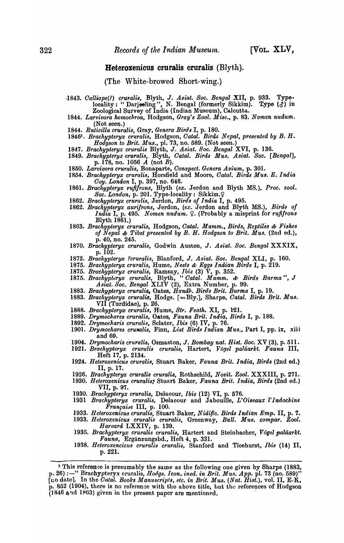### Heteroxenicus cruralis cruralis (Blyth).

(The White-browed Short-wing.)

- *,1843. Oalliope(?) cru,ali8,* Blyth, J. *Asiat. Soc. Bengal* XII, p. 933. Typelocality: "Darjeeling", N. Bengal (formerly Sikkim). Type  $(\delta)$  in Zoological Survey of India (Indian Museum), Calcutta.
- 1844. Larvivora homochroa, Hodgson, *Gray's Zool. Misc.*, p. 83. Nomen nudum. (Not seen.)
- *1844. Ruticilla crura lis,* Gray, *Genera Bird8* I, p. 180.
- 1846<sup>1</sup>• *Brachypteryx cruralis*, Hodgson, Catal. Birds Nepal, presented by B. H. *Hodgson to Brit. Mus.*, pl. 73, no. 589. (Not seen.)
- *1847. Brackypteryx crural is* Blyth, J. *Asiat. Soc. Bengal* XVI, p. 136.
- 1849. *Brachypteryx cruralis, Blyth, Catal. Birds Mus. Asiat. Soc. [Bengal],* p. 178, no. 1056  $\vec{A}$  (not  $\vec{B}$ ).
- 1850. Larvivora cruralis, Bonaparte, Conspect. Genera Avium, p. 301.
- *1854.' Brachypteryx crura lis,* Horsfield and Moore, *Gatal. Birds Mus. E. India Ooy. London* I, p. 397, no. 646.
- *1861. Brachypteryx rujifrons,* Blyth *(ex.* Jerdon and Blyth MS.), *Proc. zool.*  Soc. London, p. 201. Type-locality: Sikkim.<sup>Q</sup>
- *1862. Brackypteryx crura lis,* Jerdon, *Birds of India* I, p. 495.
- *1862. Brackypteryx aurifrons,* Jerdon, *(ex.* Jerdon and Blyth MS.), *Birds 0/ India* I, p. 495. *Nomen nudum.*  $\varphi$ . (Probably a misprint for *rufifrons*  $\text{Blyth } 1861.$ )
- 1863. Brachypteryx cruralis, Hodgson, Catal. Mamm., Birds, Reptiles & Fishes *of Nepal & Tibet presented by B. H. Hodgson to Brit. Mus.* (2nd ed.), p. 40, no. 245.
- p. 40, no. 245. . *1870. Brachypteryx cruralis,* Godwin Austen, J. *Asiat. Soc. Bengal* XXXIX, p. 102.
- *1872. Brackypteryx ?cruralis,* Blanford, J. *Asiat. Soc. Bengal* XLI, p. 160.
- 1875. *Brachypteryx cruralis,* Hume, *Nests* & *Eggs Indian Birds* I, p. 219.
- 1875. *Brackypteryx cruralis,* Ramsay, *Ibis* (3) V, p. 352.
- 1875. *Brachypteryx cruralis, Blyth, "Catal. Mamm. & Birds Burma", J Asiat. Soc. Bengal* XLIV (2), Extra Number, p. 99.
- *1883. Brachypteryx cruralis,* Oates, *Bandb. Birds Brit. Burma* I, p. 19.
- *1883. Bracltypteryx cruralis,* Hodgs. [=Bly.], Sharpe, *Gatal. Birds Brit. Mus.*   $VI\tilde{I}$  (Turdidae), p. 26.
- 1888. Brachypteryx cruralis, Hume, Str. Feath. XI, p. 121.
- 1889. *Drymochares cruralis, Oates, Fauna Brit. India, Birds I, p. 188.*
- *1892. Drymochari8 cruralis,* Sclater, *Ibis* (6) IV, p. 76.
- 1901. *Drymochares cruralis*, Finn, *List Birds Indian Mus.*, Part I, pp. ix, xiii and 69.
- 1904. *Drymocharis cruralis, Osmaston, J. Bombay nat. Hist. Soc.* XV (3), p. 511.
- *1921. Brachypteryx crura lis cruralis,* Hartert, *Vogel palaarkt. Fauna III,*  Heft 17, p. 2134.
- 1924. *Heteroxenicus cruralis*, Stuart Baker, Fauna Brit. India, Birds (2nd ed.) II, p. 17.
- *1926. Brachypteryx cruralis cruralis,* Rothschild, *Novit. Zool.* XXXIII, p. 271.
- *1930. Heteroxenicus cruralis,'* Stuart Baker, *Fauna Brit. India, Birds* (2nd ed.) VII, p. 97. . *1930. Brachypteryx crura lis,* Delacour, *Ibis* (12) VI, p. 576.
- 
- 1931 *Brachypteryx cruralis*, Delacour and Jabouille, *L'Oiseaux l'Indochine* Française III, p. 100.
- *1933. Heteroxenicus crura lis,* Stuart Baker, *Niaiftc. B·iras Indian Emp.* II, p. 7.
- *1933. Heteroxenicus crura lis crura Us,* Greenway, *Bull. Mus. compar. Zool. Harvard* LXXIV, p. 139.
- *1935. Brachypteryx cruralis cruralis,* Hartert and Steinbacher, *Vogel paliiarkt. Fauna,* Erganzungsbd., Heft 4, p. 331.
- *1938. Heteroxencicus cruralis c'l'uralis,* Stanford and Ticehurst, *Ibis* (14) II, p.221.

<sup>&</sup>lt;sup>1</sup> This reference is presumably the same as the following one given by Sharpe (1883, p. 26) :-" Brachypteryx cruralis, *Hodgs. Icon. ined. in Brit. Mus. App.* pl. 73 (no. 589)" [1.0 datel. In the *Oatal. Books Manuscripts, etc. in Brit. M,us. (Nat. Hist.),* vol. II, E-K, p. 852 (1904), there is no reference with the above title, but the references of Hodgson  $(1846$  and  $1863)$  given in the present paper are mentioned.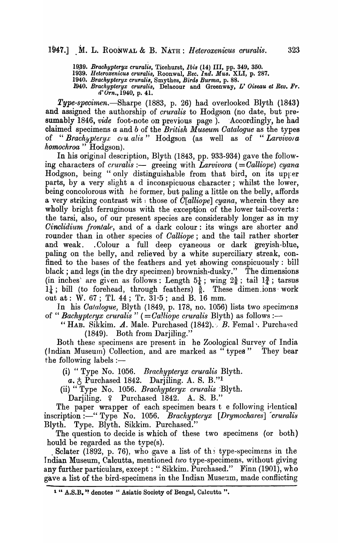*19.39. Brachypteryx cruralis,* Ticehurst, *Ibis* (14) III, pp. 349, 350.

*1939. Heteroxenicu8 crurali8,* Roonwal, *Rec. Ind. MU8.* XLI, p. 287.

*1940. Brachypteryx cru,ralia,* Smythes, *Bird8 Burma,* p. 88.

1940. Brachypteryx cruralis, Delacour and Greenway, *L' Oiseau et Rev. Fr. d' Orn.,* 1940, p. 41.

*Type-specimen.*—Sharpe (1883, p. 26) had overlooked Blyth (1843) and assigned the authorship of *cruralis* to Hodgson (no date, but presumably 1846, *vide* foot-note on previous page). Accordingly, he had claimed specimens *a* and *b* of the *British Museum Oatalogue* as the types of "Brachypteryx ciu, alis" Hodgson (as well as of "Larvivora" *homochroa* " Hodgson).

In his original description, Blyth (1843, pp. 933-934) gave the following characters of *cruralis* :- greeing with *Larvivora* (= Calliope) cyana Hodgson, being "only distinguishable from that bird, on its upper parts, by a very slight a d inconspicuous character; whilst the lower, being concolorous with he former, but paling a little on the belly, affords a very striking contrast wit: those of *O[alliope] cyana,* wherein they are wholly bright ferruginous with the exception of the lower tail-coverts: the tarsi, also, of our present species are considerably longer as in my *Oinclidium frontale,* and of a dark colour: its wings are shorter and, rounder than in other species of *Oalliope;* and the tail rather shorter and weak. . Colour a full deep cyaneous or dark greyish-blue, paling on the belly, and relieved by a white superciliary streak, confined to the hases of the feathers and yet showing conspicuously: bill black; and legs (in the dry specimen) brownish-dusky." The dimensions (in inches) are given as follows: Length  $5\frac{1}{4}$ ; wing  $2\frac{5}{8}$ ; tail  $1\frac{3}{4}$ ; tarsus  $1\frac{1}{4}$ ; bill (to forehead, through feathers)  $\frac{5}{8}$ . These dimen ions work out at: W. 67; TI. 44; Tr. 31·5; and B. 16 mm.

In his *Catalogue*, Blyth (1849, p. 178, no. 1056) lists two specimons of " *Bachypteryx cruralis* "  $(=Ca!li\overline{o}pe \,\,\text{c}ruralis \,\,\text{Blyth})$  as follows :-

" HAB. Sikkim.  $\boldsymbol{A}$ . Male. Purchased (1842).  $\boldsymbol{B}$ . Femal  $\cdot$ . Purchased (1849). Both from Darjiling."

Both these specimens are present in he Zoological Survey of India  $(Indian Museum)$  Collection, and are marked as "types" They bear the following labels  $:$ 

(i) "Type No. 1056. *Brachypteryx cruralis* Blyth.

*a.*  $\uparrow$  Purchased 1842. Darjiling. A. S. B."<sup>1</sup>

(ii) " Type No. 1056. *Brachypteryx cruralis* °Blyth.

Darjiling. ? Purchased 1842. A. S. B."

The paper wrapper of each specimen bears t e following identical inscription :-" Type No. 1056. *Brachypteryx* [Drymochares] cruralis Blyth. Type. Blyth. Sikkim. Purchased."

The question to decide is which of these two specimens (or both) hould be regarded as the type $(s)$ .

Sclater (1892, p. 76), who gave a list of the type-specimens in the Indian Museum, Calcutta, mentioned two type-specimens, without giving any further particulars, except: "Sikkim. Purchased." Finn (1901), who gave a list of the bird-specimens in the Indian Museum, made conflicting

<sup>&</sup>lt;sup>1</sup> " A.S.B. " denotes " Asiatic Society of Bengal, Calcutta ".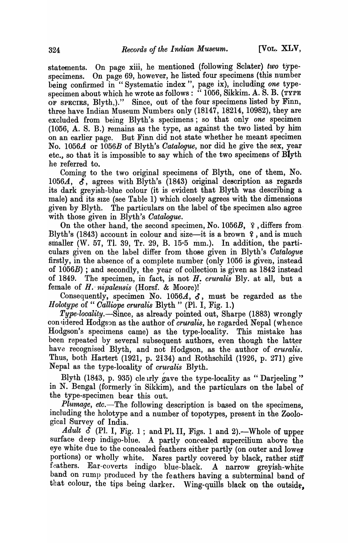statements. On page xiii, he mentioned (following Sclater) *two* typespecimens. On page 69, however, he listed four specimens (this number being confirmed in "Systematic index", page ix), including *one* typespecimen about which he wrote as follows: " $1056$ , Sikkim. A. S. B. (TYPE OF SPECIES, Blyth,)." Since, out of the four specimens listed by Finn, three have Indian Museum Numbers only  $(18147, 18214, 10982)$ , they are excluded from being Blyth's specimens; so that only *one* specimen (1056, A. S. B.) Femains as the type, as against the two listed by him on an earlier page. But Finn did not state whether he meant specimen No. *1056.A* or *l056B* of Blyth's *Oatalogue,* nor did he give the sex, year etc., so that it is impossible to say which of the two specimens of Blyth he referred to.

Coming to the two original specimens of Blyth, one of them, No. 1056 $A$ ,  $\delta$ , agrees with Blyth's (1843) original description as regards its dark greyish-blue colour (it is evident that Blyth was describing a male) and its SIze (see Table 1) which closely agrees with the dimensions given by Blyth. The particulars on the label of the specimen also agree with those given in Blyth's *Oatalogue.* 

On the other hand, the second specimen, No. 1056B,  $\varphi$ , differs from. Blyth's  $(1843)$  account in colour and size-it is a brown  $\gamma$ , and is much smaller (W. 57, Tl. 39, Tr. 29, B. 15 $\cdot$ 5 mm.). In addition, the particulars given on the label differ from those given in Blyth's *Oatalogue*  firstly, in the absence of a complete number (only 1056 is given, instead of *1056B)* ; and secondly, the year of collection is given as 1842 instead of 1849. The specimen, in fact, is not H. *cruralis* Bly. at all, but a female of H. *nipalensis* (Horsf. & Moore)!

Consequently, specimen No. 1056A,  $\delta$ , must be regarded as the *Holotype* of " *Calliope cruralis* Blyth " (Pl. I, Fig. 1.)

*Type-locality.-Since,* as already pointed out, Sharpe (1883) wrongly con<sup>sidered</sup> Hodgson as the author of *cruralis*, he regarded Nepal (whence Hodgson's specimens came) as the type-locality. This mistake has been repeated by several subsequent authors, even though the latter have recognised Blyth, and not Hodgson, as the author of *cruralis*. Thus, both Hartert (1921, p. 2134) and Rothschild (1926, p. 271) give Nepal as the type-locality of *cru'falis* Blyth.

Blyth (1843, p. 935) cle rily gave the type-locality as "Darjeeling" in N. Bengal (formerly 'in Sikkim), and the particulars on the label of the type-specimen bear this out.

*Plumage, etc.*—The following description is based on the specimens, including the holotype and a number of topotypes, present in the Zoological Survey of India.

Adult  $\check{C}$  (Pl. I, Fig. 1; and Pl. II, Figs. 1 and 2).—Whole of upper surface deep indigo-blue. A partly concealed supercilium above the eye white due to the concealed feathers either partly (on outer and lower portions) or wholly white. Nares partly covered by black, rather stiff feathers. Ear-coverts indigo blue-black. A narrow greyish-white band on rump produced by the feathers having a subterminal band of that colour, the tips being darker. Wing-quills black on the outside,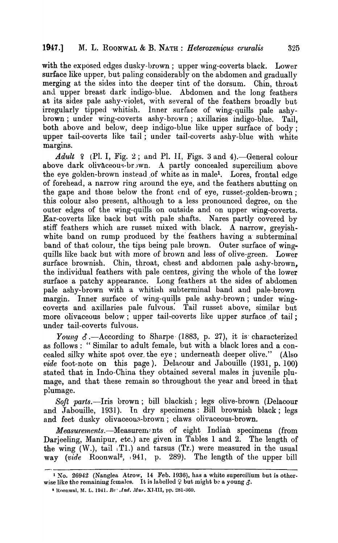with the exposed edges dusky-brown; upper wing-coverts black. Lower surface like upper, but paling considerably on the abdomen and gradually merging at the sides into the deeper tint of the dorsum. Chin, throat and upper breast dark indigo-blue. Abdomen and the long feathers at its sides pale ashy-violet, with several of the feathers proadly but irregularly tipped whitish. Inner surface of wing-quills pale ashybrown; under wing-coverts ashy-brown; axillaries indigo-blue. Tail, both above and below, deep indigo-blue like upper surface of body; upper tail-coverts like tail; under tail-coverts ashy-blue with white margins.

Adult  $\varphi$  (Pl. I, Fig. 2; and Pl. II, Figs. 3 and 4). - General colour above dark olivaceous-br wn. A partly concealed supercilium above the eye golden-brown instead of white as in male<sup>1</sup>. Lores, frontal edge of forehead, a narrow ring around the eye, and the feathers abutting on the gape and those below the front end of eye, russet-golden-brown; this colour also present, although to a less pronounced degree, on the outer edges of the wing-quills on outside and on upper wing-coverts. Ear-coverts like back but with pale shafts. Nares partly covered by stiff feathers which are russet mixed with black. A narrow, greyishwhite band on rump produced by the feathers having a subterminal band of that colour, the tips being pale brown. Outer surface of wingquills like back but with more of brown and less of olive-green. Lower surface brownish. Chin, throat, chest and abdomen pale ashy-brown, the individual feathers with pale centres, giving the whole of the lower surfaoe a patchy appearance. Long feathers at the sides of abdomen pale ashy-brown with a whitish subterminal band and pale-brown margin. Inner surface of wing-quills pale ashy-brown; under wingcoverts and axillaries pale fulvous. Tail russet above, similar but more olivaceous below; upper tail-coverts like upper surface of tail; under tail-coverts fulvous.

*Young*  $\delta$ .-According to Sharpe (1883, p. 27), it is characterized as follows: "Similar to adult female, but with a black lores and a concealed silky white spot over the eye; underneath deeper olive." (Also *'vide* foot-note on this page). Delacour and Jabouille (1931, p. 100) stated that in Indo-China they obtained several males in juvenile plumage, and that these remain so throughout the year and breed in that plumage.

*Soft parts.-Iris* brown; bill blackish; legs' olive-brown (Delacour and Jabouille, 1931). In dry specimens: Bill brownish black; legs and feet dusky olivaceou3-brown; claws olivaceous-brown.

*Measurements.*—Measurements of eight Indian specimens (from Darjeeling, Manipur, etc.) are given in Tables 1 and 2. The length of the wing  $(W<sub>1</sub>)$ , tail  $\Gamma(1)$  and tarsus  $(Tr)$  were measured in the usual way *(vide* Roonwal2, 1941, p. 289). The length of the upper bill

<sup>1</sup> No. 26942 (Nanglea Atrow, 14 Feb. 1936), has a white supercilium but is otherwise like the remaining females. It is labelled  $\varphi$  but might be a young  $\varphi$ .

<sup>&</sup>lt;sup>2</sup> Roonwal, M. L. 1941. *Re' .Ind. Mus.* XJ.III, pp. 281-360.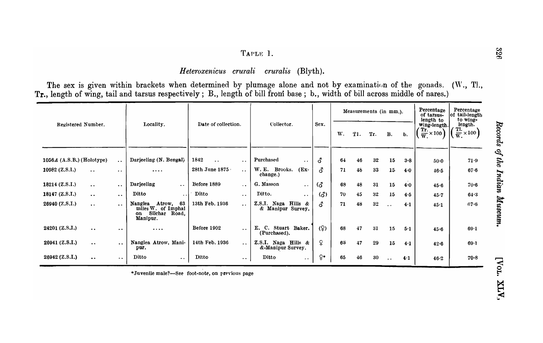# TAPLE 1.

*Heteroxenicus crurali cruralis* (Blyth).

The sex is given within brackets when determined by plumage alone and not by examination of the gonads. (W., T!., Tr., length of wing, tail and tarsus respectively; B., length of bill from base; b., width of bill across middle of nares.)

| Registered Number.                       |                      |                                                                                  |                                              |                                                       | Sex.             | Measurements (in mm.). |     |        |                      | Percentage<br>of tarsus-<br>length to | Percentage<br>of tail-length<br>to wing-                |                                                             |
|------------------------------------------|----------------------|----------------------------------------------------------------------------------|----------------------------------------------|-------------------------------------------------------|------------------|------------------------|-----|--------|----------------------|---------------------------------------|---------------------------------------------------------|-------------------------------------------------------------|
|                                          |                      | Locality.                                                                        | Date of collection.                          | Collector.                                            |                  | W.                     | T1. | Tr.    | <b>B.</b>            | b.                                    | wing-length.<br>Tr.<br>$\frac{24}{\text{W}} \times 100$ | length.<br>Tl.<br>$\times 100$<br>$\overline{\mathbf{w}}$ . |
|                                          |                      |                                                                                  |                                              |                                                       |                  |                        |     |        |                      |                                       |                                                         |                                                             |
| $1056A$ (A.S.B.) (Holotype)              | $\ddotsc$            | Darjeeling (N. Bengal)                                                           | 1842<br>$\sim$ $\sim$<br>$\bullet$ $\bullet$ | Purchased<br>$\bullet$ $\bullet$                      | ර                | 64                     | 46  | 32     | 15                   | $3 - 8$                               | $50-0$                                                  | 71.9                                                        |
| 10982 $(Z.S.I.)$<br>$\bullet$ $\bullet$  | $\ddot{\phantom{a}}$ | $\cdots$                                                                         | 28th June 1875<br>$\sim 10^{-1}$             | <b>W.E.</b><br>Brooks.<br>$(EX-$<br>change.)          | <u>ර</u>         | 71                     | 48  | 33     | 15 <sub>1</sub>      | 4.0                                   | 46.5                                                    | $67 - 6$                                                    |
| 18214 $(Z.S.I.)$<br>$\ddot{\phantom{a}}$ | $\bullet$ $\bullet$  | Darjeeling<br>$\ddot{\phantom{0}}$                                               | Before 1889<br>$\ddotsc$                     | G. Masson<br>$\ddot{\phantom{a}}$                     | $\delta$         | 68                     | 48  | 31     | 15                   | 4.0                                   | 45.6                                                    | $70 - 6$                                                    |
| 18147 $(Z.S.I.)$<br>$\bullet$ $\bullet$  | $\bullet$            | Ditto<br>. .                                                                     | Ditto<br>$\bullet$ $\bullet$                 | Ditto.<br>$\bullet$ $\bullet$                         | $\mathcal{L}$    | 70                     | 45  | 32     | 15                   | 4.5                                   | 45.7                                                    | 64.3                                                        |
| 26940 (Z.S.I.)<br>$\bullet$ $\bullet$    | $\ddot{\phantom{a}}$ | Nanglea<br>63<br>Atrow,<br>miles W. of Imphal<br>Silchar Road,<br>on<br>Manipur. | 13th Feb. 1936<br>$\ddot{\phantom{a}}$       | Z.S.I. Naga Hills $\&$<br>& Manipur Survey.           | đ                | 71                     | 48  | $32\,$ | $\ddot{\phantom{0}}$ | 4.1                                   | 45.1                                                    | $67 - 6$                                                    |
| 24201 (Z.S.I.)<br>$\bullet$ $\bullet$    | $\ddot{\phantom{1}}$ | $\cdots$                                                                         | Before 1902<br>$\ddot{\phantom{0}}$          | E.<br>$\mathbf{C}$ .<br>Stuart Baker.<br>(Purchased). | (9)              | 68                     | 47  | 31     | 15                   | $5-1$                                 | 45.6                                                    | $69 - 1$                                                    |
| 26941 (Z.S.I.)<br>$\bullet$              | $\ddot{\phantom{a}}$ | Nanglea Atrow, Mani-<br>pur.                                                     | 14th Feb. 1936<br>$\ddot{\phantom{a}}$       | Z.S.I. Naga Hills $\&$<br>&Manipur Survey.            | Q.               | 68                     | 17  | 29     | 15                   | 4.1                                   | 42.6                                                    | $69-1$                                                      |
| 26942 (Z.S.I.)<br>$\ddot{\phantom{1}}$   | $\bullet$ $\bullet$  | Ditto<br>$\ddot{\phantom{0}}$                                                    | Ditto<br>$\bullet$                           | Ditto<br>$\bullet$ $\bullet$ .                        | $\varphi\bullet$ | 65                     | 46  | 30     | $\ddot{\phantom{0}}$ | 4.1                                   | 46.2                                                    | $70 - 8$                                                    |

\*Juvenile male?-See foot-note, on previous page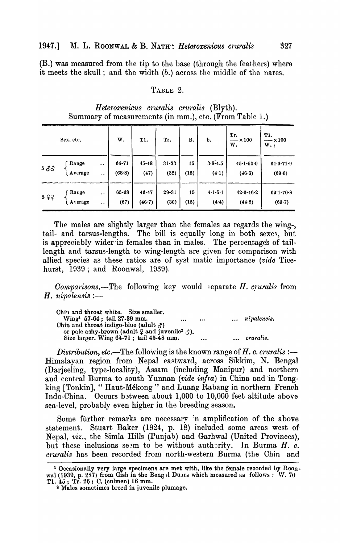(B.) was measured from the tip to the base (through the feathers) where it meets the skull; and the width (b.) across the middle of the nares,

## TABLE 2.

| Sex, etc. |         |                      | W.     | T1.       | Tr.       | В.   | b.          | Tr.<br>$-\times 100$<br>w. | <b>T1.</b><br>$-\times 100$<br>$W_{\star}$ |  |
|-----------|---------|----------------------|--------|-----------|-----------|------|-------------|----------------------------|--------------------------------------------|--|
| 5 33      | Range   | $\bullet$ $\bullet$  | 64-71  | $45 - 48$ | $31 - 33$ | 15   | $3.8 - 4.5$ | $45.1 - 50.0$              | $64.3 - 71.9$                              |  |
|           | Average | $\sim$ $\sim$        | (68.8) | (47)      | (32)      | (15) | (4.1)       | (46.6)                     | (69.6)                                     |  |
| 399       | Range   | $\ddot{\phantom{0}}$ | 65-68  | $46 - 47$ | 29-31     | 15   | $4.1 - 5.1$ | $42.6 - 46.2$              | $69.1 - 70.8$                              |  |
|           | Average | $\bullet$ $\bullet$  | (67)   | (46.7)    | (30)      | (15) | (4.4)       | (44.8)                     | (69.7)                                     |  |

*Heteroxenicus c1'uralis cruralis* (Blyth). Summary of measurements (in mm.), etc. (From Table 1.)

The males are slightly larger than the females as regards the wing-, tail- and tarsus-lengths. The bill is equally long in both sexe3, but is appreciably wider in females than in males. The percentage's of taillength and tarsus-length to wing-length are given for comparison with allied species as these ratios are of syst matic importance *(vide* Ticehurst, 1939; and Roonwal, 1939).

*Comparisons.*—The following key would separate *H. cruralis* from H. *nipalensis* :-

| Chin and throat white. Size smaller.                                       |          |               |
|----------------------------------------------------------------------------|----------|---------------|
| $Wing1 57-64$ ; tail 27-39 mm.                                             | <br>     | nipalensis.   |
| Chin and throat indigo-blue (adult $\delta$ )                              |          |               |
| or pale ashy-brown (adult $\varphi$ and juvenile <sup>2</sup> $\varphi$ ). |          |               |
| Size larger. Wing 64-71; tail 45-48 mm.                                    | $\cdots$ | <br>cruralis. |

*Distribution, etc.*—The following is the known range of *H. c. cruralis :—* Himala yan region from Nepal eastward, across Sikkim, N. Bengal (Darjeeling, type-locality), Assam (including Manipur) and northern and central Burma to south Yunnan *(vide infra)* in China and'in Tongking [Tonkin], "Haut-Mékong" and Luang Rabang in northern French Indo-China. Occurs b3tween about 1,000 to 10,000 feet altitude above sea-level, probably even higher in the breeding season.

Some further remarks are necessary in amplification of the above statement. Stuart Baker (1924, p. 18) included some areas west of Nepal, *viz.*, the Simla Hills (Punjab) and Garhwal (United Provinces), but these inclusions seem to be without authority. In Burma  $H$ .  $c$ . *cturalis* has been recorded from north-western Burma (the Chin and

<sup>1</sup> Occasionally very large specimens are met with, like the female recorded by Roonwal (1939, p. 287) from Gish in the Beng l Duars which measured as follows:  $W.$  70 Tl. 45; Tr. 26; C. (culmen) 16 mm.

<sup>2</sup> Males sometimes breed in juvenile plumage.